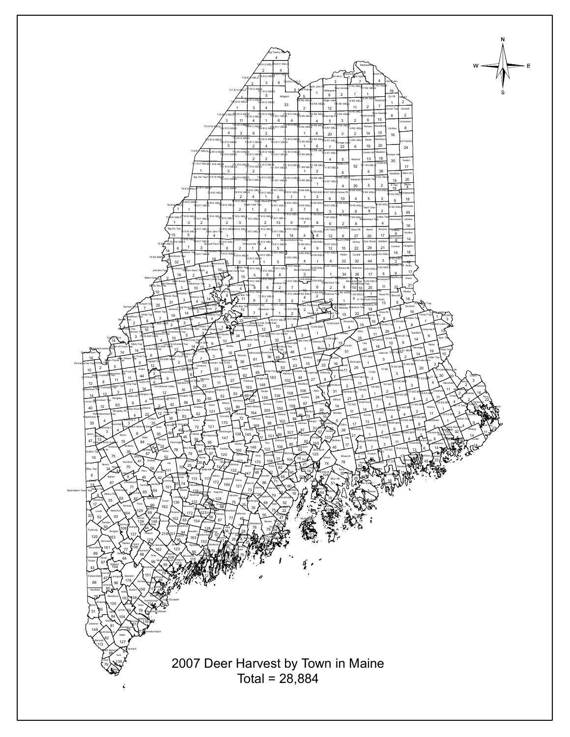